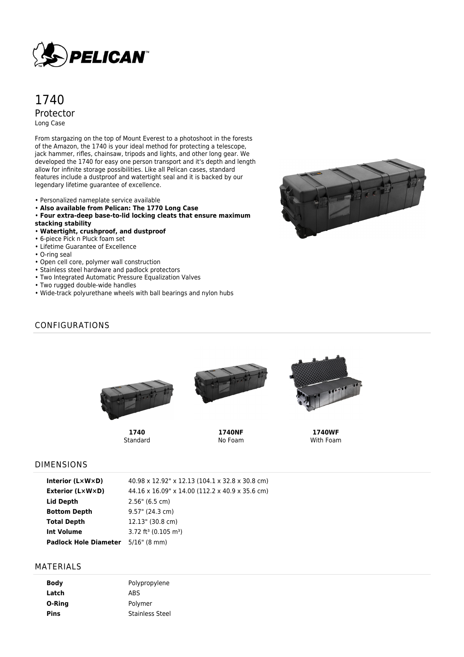

# 1740 Protector Long Case

From stargazing on the top of Mount Everest to a photoshoot in the forests of the Amazon, the 1740 is your ideal method for protecting a telescope, jack hammer, rifles, chainsaw, tripods and lights, and other long gear. We developed the 1740 for easy one person transport and it's depth and length allow for infinite storage possibilities. Like all Pelican cases, standard features include a dustproof and watertight seal and it is backed by our legendary lifetime guarantee of excellence.

- Personalized nameplate service available
- **Also available from Pelican: The 1770 Long Case**
- **Four extra-deep base-to-lid locking cleats that ensure maximum**
- **stacking stability**
- **Watertight, crushproof, and dustproof**
- 6-piece Pick n Pluck foam set
- Lifetime Guarantee of Excellence
- O-ring seal
- Open cell core, polymer wall construction
- Stainless steel hardware and padlock protectors
- Two Integrated Automatic Pressure Equalization Valves
- Two rugged double-wide handles
- Wide-track polyurethane wheels with ball bearings and nylon hubs



### CONFIGURATIONS



**1740** Standard



**1740NF** No Foam



**1740WF** With Foam

#### DIMENSIONS

| Interior $(L \times W \times D)$          | 40.98 x 12.92" x 12.13 (104.1 x 32.8 x 30.8 cm) |
|-------------------------------------------|-------------------------------------------------|
| Exterior (L×W×D)                          | 44.16 x 16.09" x 14.00 (112.2 x 40.9 x 35.6 cm) |
| Lid Depth                                 | 2.56" (6.5 cm)                                  |
| <b>Bottom Depth</b>                       | $9.57$ " (24.3 cm)                              |
| <b>Total Depth</b>                        | 12.13" (30.8 cm)                                |
| <b>Int Volume</b>                         | $3.72$ ft <sup>3</sup> (0.105 m <sup>3</sup> )  |
| <b>Padlock Hole Diameter</b> 5/16" (8 mm) |                                                 |
|                                           |                                                 |

#### MATERIALS

| <b>Body</b> | Polypropylene          |
|-------------|------------------------|
| Latch       | ABS                    |
| O-Ring      | Polymer                |
| <b>Pins</b> | <b>Stainless Steel</b> |